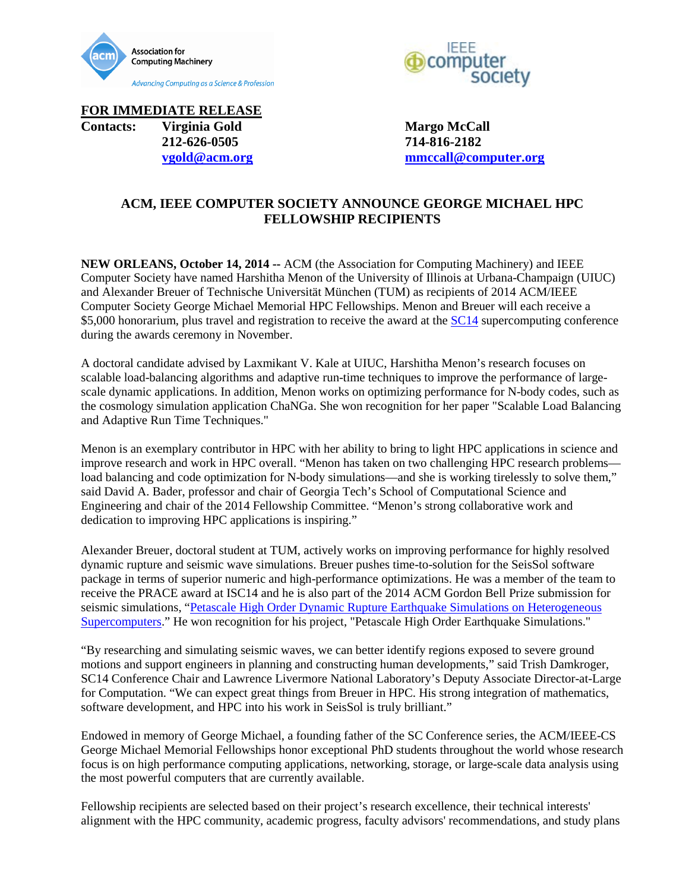



**FOR IMMEDIATE RELEASE Contacts: Virginia Gold Margo McCall 212-626-0505 714-816-2182**

**[vgold@acm.org](mailto:vgold@acm.org) [mmccall@computer.org](mailto:mmccall@computer.org)**

## **ACM, IEEE COMPUTER SOCIETY ANNOUNCE GEORGE MICHAEL HPC FELLOWSHIP RECIPIENTS**

**NEW ORLEANS, October 14, 2014 --** ACM (the Association for Computing Machinery) and IEEE Computer Society have named Harshitha Menon of the University of Illinois at Urbana-Champaign (UIUC) and Alexander Breuer of Technische Universität München (TUM) as recipients of 2014 ACM/IEEE Computer Society George Michael Memorial HPC Fellowships. Menon and Breuer will each receive a \$5,000 honorarium, plus travel and registration to receive the award at the [SC14](http://sc14.supercomputing.org/) supercomputing conference during the awards ceremony in November.

A doctoral candidate advised by Laxmikant V. Kale at UIUC, Harshitha Menon's research focuses on scalable load-balancing algorithms and adaptive run-time techniques to improve the performance of largescale dynamic applications. In addition, Menon works on optimizing performance for N-body codes, such as the cosmology simulation application ChaNGa. She won recognition for her paper "Scalable Load Balancing and Adaptive Run Time Techniques."

Menon is an exemplary contributor in HPC with her ability to bring to light HPC applications in science and improve research and work in HPC overall. "Menon has taken on two challenging HPC research problems load balancing and code optimization for N-body simulations—and she is working tirelessly to solve them," said David A. Bader, professor and chair of Georgia Tech's School of Computational Science and Engineering and chair of the 2014 Fellowship Committee. "Menon's strong collaborative work and dedication to improving HPC applications is inspiring."

Alexander Breuer, doctoral student at TUM, actively works on improving performance for highly resolved dynamic rupture and seismic wave simulations. Breuer pushes time-to-solution for the SeisSol software package in terms of superior numeric and high-performance optimizations. He was a member of the team to receive the PRACE award at ISC14 and he is also part of the 2014 ACM Gordon Bell Prize submission for seismic simulations, ["Petascale High Order Dynamic Rupture Earthquake Simulations on Heterogeneous](http://sc14.supercomputing.org/schedule/event_detail?evid=gb112)  [Supercomputers.](http://sc14.supercomputing.org/schedule/event_detail?evid=gb112)" He won recognition for his project, "Petascale High Order Earthquake Simulations."

"By researching and simulating seismic waves, we can better identify regions exposed to severe ground motions and support engineers in planning and constructing human developments," said Trish Damkroger, SC14 Conference Chair and Lawrence Livermore National Laboratory's Deputy Associate Director-at-Large for Computation. "We can expect great things from Breuer in HPC. His strong integration of mathematics, software development, and HPC into his work in SeisSol is truly brilliant."

Endowed in memory of George Michael, a founding father of the SC Conference series, the ACM/IEEE-CS George Michael Memorial Fellowships honor exceptional PhD students throughout the world whose research focus is on high performance computing applications, networking, storage, or large-scale data analysis using the most powerful computers that are currently available.

Fellowship recipients are selected based on their project's research excellence, their technical interests' alignment with the HPC community, academic progress, faculty advisors' recommendations, and study plans